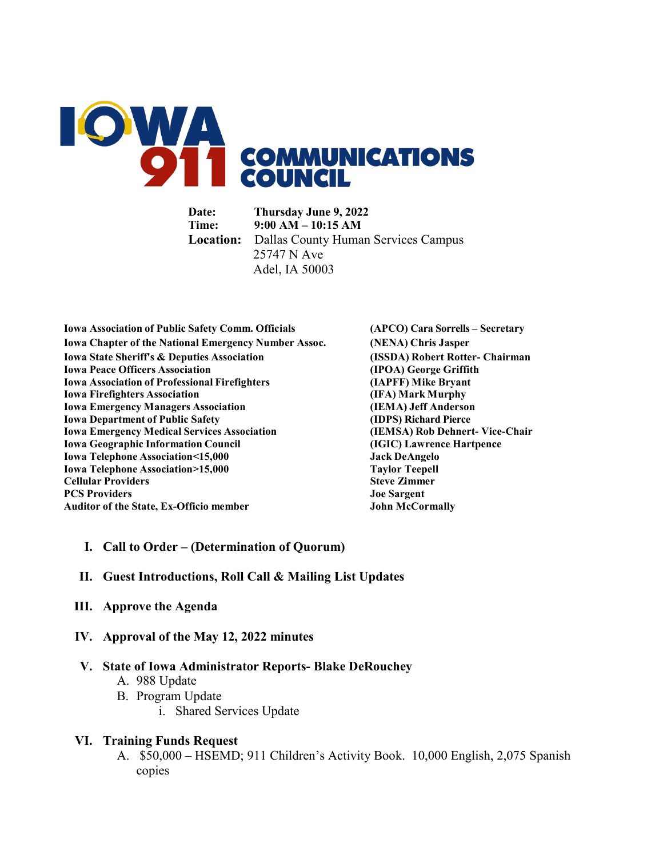

**Date: Thursday June 9, 2022 Time: 9:00 AM – 10:15 AM Location:** Dallas County Human Services Campus 25747 N Ave Adel, IA 50003

**Iowa Association of Public Safety Comm. Officials (APCO) Cara Sorrells – Secretary Iowa Chapter of the National Emergency Number Assoc. (NENA) Chris Jasper Iowa State Sheriff's & Deputies Association (ISSDA) Robert Rotter- Chairman Iowa Peace Officers Association (IPOA) George Griffith Iowa Association of Professional Firefighters (IAPFF) Mike Bryant Iowa Firefighters Association (IFA) Mark Murphy Iowa Emergency Managers Association (IEMA) Jeff Anderson Iowa Department of Public Safety (IDPS) Richard Pierce Iowa Emergency Medical Services Association (IEMSA) Rob Dehnert- Vice-Chair Iowa Geographic Information Council Iowa Telephone Association<15,000 Jack DeAngelo Iowa Telephone Association>15,000 Taylor Teepell Cellular Providers Steve Zimmer PCS Providers Joe Sargent Auditor of the State, Ex-Officio member** 

#### **I. Call to Order – (Determination of Quorum)**

- **II. Guest Introductions, Roll Call & Mailing List Updates**
- **III. Approve the Agenda**
- **IV. Approval of the May 12, 2022 minutes**

#### **V. State of Iowa Administrator Reports- Blake DeRouchey**

- A. 988 Update
- B. Program Update
	- i. Shared Services Update

#### **VI. Training Funds Request**

A. \$50,000 – HSEMD; 911 Children's Activity Book. 10,000 English, 2,075 Spanish copies